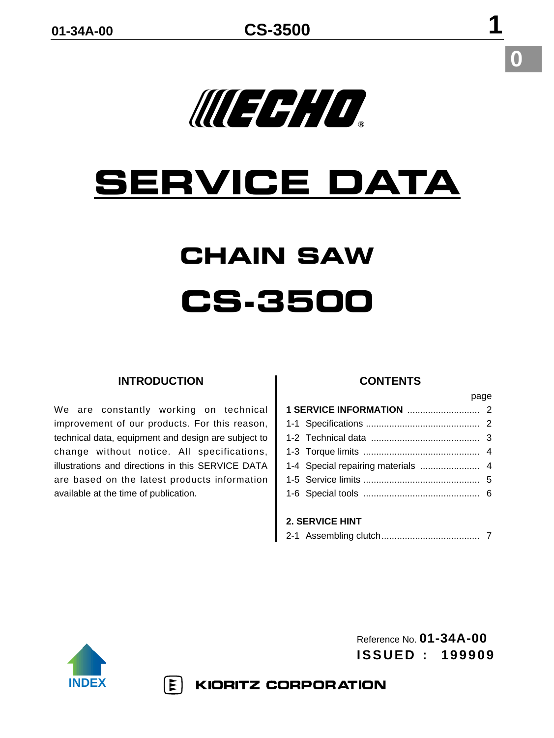### **0**

# MERHD.

## **SERVICE DATA**

### **CHAIN SAW CS-3500**

#### **INTRODUCTION**

We are constantly working on technical improvement of our products. For this reason, technical data, equipment and design are subject to change without notice. All specifications, illustrations and directions in this SERVICE DATA are based on the latest products information available at the time of publication.

#### **CONTENTS**

page

| <u>puyu</u>                        |  |  |  |  |  |  |
|------------------------------------|--|--|--|--|--|--|
|                                    |  |  |  |  |  |  |
|                                    |  |  |  |  |  |  |
|                                    |  |  |  |  |  |  |
|                                    |  |  |  |  |  |  |
| 1-4 Special repairing materials  4 |  |  |  |  |  |  |
|                                    |  |  |  |  |  |  |
|                                    |  |  |  |  |  |  |
|                                    |  |  |  |  |  |  |
|                                    |  |  |  |  |  |  |

#### **2. SERVICE HINT**

|--|--|--|--|



Reference No. **01-34A-00 ISSUED : 199909**

 $|\mathbf{\Sigma}|$ KIORITZ CORPORATION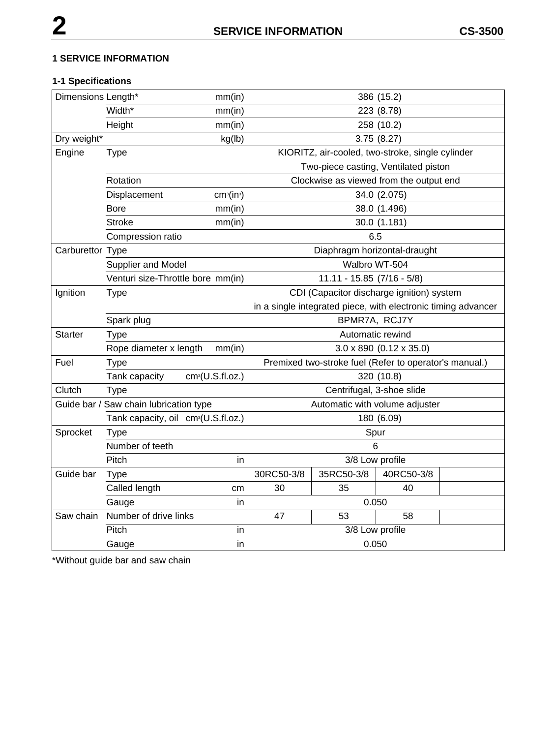#### **1 SERVICE INFORMATION**

#### **1-1 Specifications**

| Dimensions Length* |                                                 | mm(in)                             |                                |                                                               | 386 (15.2)                             |  |
|--------------------|-------------------------------------------------|------------------------------------|--------------------------------|---------------------------------------------------------------|----------------------------------------|--|
|                    | Width*<br>mm(in)                                |                                    | 223 (8.78)                     |                                                               |                                        |  |
|                    | Height                                          | mm(in)                             |                                |                                                               | 258 (10.2)                             |  |
| Dry weight*        |                                                 | kg(lb)                             | 3.75(8.27)                     |                                                               |                                        |  |
| Engine             | <b>Type</b>                                     |                                    |                                | KIORITZ, air-cooled, two-stroke, single cylinder              |                                        |  |
|                    |                                                 |                                    |                                | Two-piece casting, Ventilated piston                          |                                        |  |
|                    | Rotation                                        |                                    |                                | Clockwise as viewed from the output end                       |                                        |  |
|                    | Displacement                                    | cm <sup>3</sup> (in <sup>3</sup> ) |                                |                                                               | 34.0 (2.075)                           |  |
|                    | <b>Bore</b>                                     | mm(in)                             |                                |                                                               | 38.0 (1.496)                           |  |
|                    | <b>Stroke</b>                                   | mm(in)                             |                                |                                                               | 30.0 (1.181)                           |  |
|                    | Compression ratio                               |                                    |                                | 6.5                                                           |                                        |  |
| Carburettor Type   |                                                 |                                    |                                |                                                               | Diaphragm horizontal-draught           |  |
|                    | Supplier and Model                              |                                    |                                |                                                               | Walbro WT-504                          |  |
|                    | Venturi size-Throttle bore mm(in)               |                                    |                                | $11.11 - 15.85$ (7/16 - 5/8)                                  |                                        |  |
| Ignition           | <b>Type</b>                                     |                                    |                                | CDI (Capacitor discharge ignition) system                     |                                        |  |
|                    |                                                 |                                    |                                | in a single integrated piece, with electronic timing advancer |                                        |  |
|                    | Spark plug                                      |                                    |                                | BPMR7A, RCJ7Y                                                 |                                        |  |
| <b>Starter</b>     | <b>Type</b>                                     |                                    |                                | Automatic rewind                                              |                                        |  |
|                    | Rope diameter x length                          | mm(in)                             |                                |                                                               | $3.0 \times 890$ (0.12 $\times 35.0$ ) |  |
| Fuel               | <b>Type</b>                                     |                                    |                                | Premixed two-stroke fuel (Refer to operator's manual.)        |                                        |  |
|                    | Tank capacity                                   | cm <sup>3</sup> (U.S.fI.oz.)       |                                |                                                               | 320 (10.8)                             |  |
| Clutch             | <b>Type</b>                                     |                                    |                                |                                                               | Centrifugal, 3-shoe slide              |  |
|                    | Guide bar / Saw chain lubrication type          |                                    | Automatic with volume adjuster |                                                               |                                        |  |
|                    | Tank capacity, oil cm <sup>3</sup> (U.S.fl.oz.) |                                    |                                |                                                               | 180 (6.09)                             |  |
| Sprocket           | <b>Type</b>                                     |                                    |                                |                                                               | Spur                                   |  |
|                    | Number of teeth                                 |                                    |                                |                                                               | 6                                      |  |
|                    | Pitch                                           | in.                                |                                | 3/8 Low profile                                               |                                        |  |
| Guide bar          | <b>Type</b>                                     |                                    | 30RC50-3/8                     | 35RC50-3/8                                                    | 40RC50-3/8                             |  |
|                    | Called length                                   | cm                                 | 30                             | 35                                                            | 40                                     |  |
|                    | Gauge                                           | in.                                |                                | 0.050                                                         |                                        |  |
| Saw chain          | Number of drive links                           |                                    | 47                             | 53                                                            | 58                                     |  |
|                    | Pitch                                           | in.                                |                                | 3/8 Low profile                                               |                                        |  |
|                    | Gauge                                           | in                                 |                                | 0.050                                                         |                                        |  |

\*Without guide bar and saw chain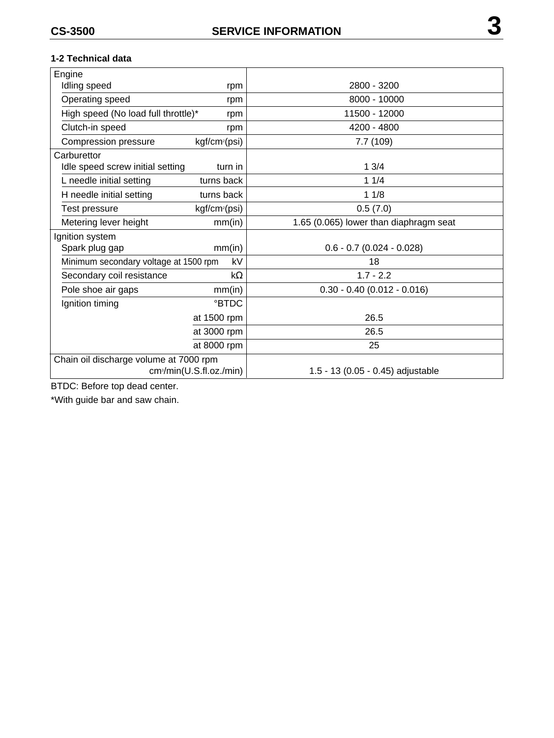#### **1-2 Technical data**

| Engine                                 |                                      |                                        |
|----------------------------------------|--------------------------------------|----------------------------------------|
| Idling speed<br>rpm                    |                                      | 2800 - 3200                            |
| Operating speed                        | rpm                                  | 8000 - 10000                           |
| High speed (No load full throttle)*    | rpm                                  | 11500 - 12000                          |
| Clutch-in speed                        | rpm                                  | 4200 - 4800                            |
| Compression pressure                   | kgf/cm <sup>2</sup> (psi)            | 7.7(109)                               |
| Carburettor                            |                                      |                                        |
| Idle speed screw initial setting       | turn in                              | 13/4                                   |
| L needle initial setting               | turns back                           | 11/4                                   |
| H needle initial setting               | turns back                           | 11/8                                   |
| Test pressure                          | kgf/cm <sup>2</sup> (psi)            | 0.5(7.0)                               |
| Metering lever height                  | mm(in)                               | 1.65 (0.065) lower than diaphragm seat |
| Ignition system                        |                                      |                                        |
| Spark plug gap                         | mm(in)                               | $0.6 - 0.7$ (0.024 - 0.028)            |
| Minimum secondary voltage at 1500 rpm  | kV                                   | 18                                     |
| Secondary coil resistance              | $k\Omega$                            | $1.7 - 2.2$                            |
| Pole shoe air gaps                     | mm(in)                               | $0.30 - 0.40$ (0.012 - 0.016)          |
| Ignition timing                        | <b>PBTDC</b>                         |                                        |
|                                        | at 1500 rpm                          | 26.5                                   |
|                                        | at 3000 rpm                          | 26.5                                   |
|                                        | at 8000 rpm                          | 25                                     |
| Chain oil discharge volume at 7000 rpm |                                      |                                        |
|                                        | cm <sup>3</sup> /min(U.S.fl.oz./min) | 1.5 - 13 (0.05 - 0.45) adjustable      |

BTDC: Before top dead center.

\*With guide bar and saw chain.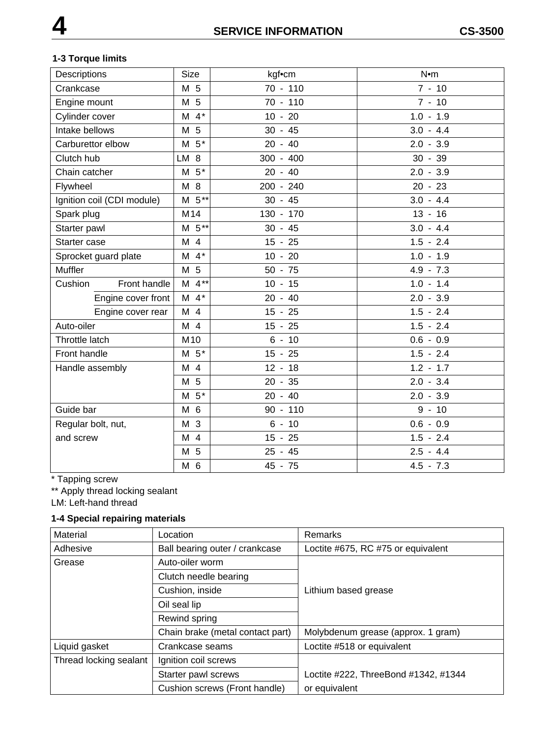#### **1-3 Torque limits**

| Descriptions               | <b>Size</b>        | kgf•cm      | $N$ •m      |
|----------------------------|--------------------|-------------|-------------|
| Crankcase                  | M 5                | 70 - 110    | $7 - 10$    |
| Engine mount               | M 5                | 70 - 110    | $7 - 10$    |
| Cylinder cover             | $M$ 4 <sup>*</sup> | $10 - 20$   | $1.0 - 1.9$ |
| Intake bellows             | M 5                | $30 - 45$   | $3.0 - 4.4$ |
| Carburettor elbow          | $M5*$              | $20 - 40$   | $2.0 - 3.9$ |
| Clutch hub                 | LM 8               | $300 - 400$ | $30 - 39$   |
| Chain catcher              | $M5*$              | $20 - 40$   | $2.0 - 3.9$ |
| Flywheel                   | M 8                | 200 - 240   | $20 - 23$   |
| Ignition coil (CDI module) | $M \ 5**$          | $30 - 45$   | $3.0 - 4.4$ |
| Spark plug                 | M14                | 130 - 170   | $13 - 16$   |
| Starter pawl               | $M 5**$            | $30 - 45$   | $3.0 - 4.4$ |
| Starter case               | M 4                | $15 - 25$   | $1.5 - 2.4$ |
| Sprocket guard plate       | $M$ 4 <sup>*</sup> | $10 - 20$   | $1.0 - 1.9$ |
| Muffler                    | M 5                | $50 - 75$   | $4.9 - 7.3$ |
| Front handle<br>Cushion    | $M 4**$            | $10 - 15$   | $1.0 - 1.4$ |
| Engine cover front         | $M$ 4 <sup>*</sup> | $20 - 40$   | $2.0 - 3.9$ |
| Engine cover rear          | M 4                | $15 - 25$   | $1.5 - 2.4$ |
| Auto-oiler                 | M <sub>4</sub>     | $15 - 25$   | $1.5 - 2.4$ |
| Throttle latch             | M <sub>10</sub>    | $6 - 10$    | $0.6 - 0.9$ |
| Front handle               | $M5*$              | $15 - 25$   | $1.5 - 2.4$ |
| Handle assembly            | M 4                | $12 - 18$   | $1.2 - 1.7$ |
|                            | M 5                | $20 - 35$   | $2.0 - 3.4$ |
|                            | $5*$<br>M          | $20 - 40$   | $2.0 - 3.9$ |
| Guide bar                  | M 6                | $90 - 110$  | $9 - 10$    |
| Regular bolt, nut,         | M 3                | $6 - 10$    | $0.6 - 0.9$ |
| and screw                  | M 4                | $15 - 25$   | $1.5 - 2.4$ |
|                            | M 5                | $25 - 45$   | $2.5 - 4.4$ |
|                            | M 6                | 45 - 75     | $4.5 - 7.3$ |

\* Tapping screw

\*\* Apply thread locking sealant

LM: Left-hand thread

#### **1-4 Special repairing materials**

| Material               | Location                         | Remarks                              |
|------------------------|----------------------------------|--------------------------------------|
| Adhesive               | Ball bearing outer / crankcase   | Loctite #675, RC #75 or equivalent   |
| Grease                 | Auto-oiler worm                  |                                      |
|                        | Clutch needle bearing            |                                      |
|                        | Cushion, inside                  | Lithium based grease                 |
|                        | Oil seal lip                     |                                      |
|                        | Rewind spring                    |                                      |
|                        | Chain brake (metal contact part) | Molybdenum grease (approx. 1 gram)   |
| Liquid gasket          | Crankcase seams                  | Loctite #518 or equivalent           |
| Thread locking sealant | Ignition coil screws             |                                      |
|                        | Starter pawl screws              | Loctite #222, ThreeBond #1342, #1344 |
|                        | Cushion screws (Front handle)    | or equivalent                        |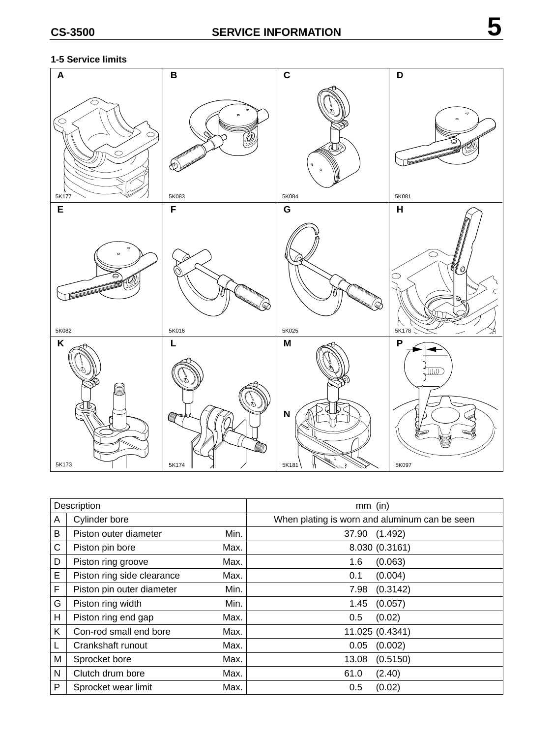#### **1-5 Service limits**



| Description  |                            |      | $mm$ (in)                                     |
|--------------|----------------------------|------|-----------------------------------------------|
| A            | Cylinder bore              |      | When plating is worn and aluminum can be seen |
| B            | Piston outer diameter      | Min. | 37.90 (1.492)                                 |
| $\mathsf{C}$ | Piston pin bore            | Max. | 8.030 (0.3161)                                |
| D            | Piston ring groove         | Max. | (0.063)<br>1.6                                |
| E            | Piston ring side clearance | Max. | (0.004)<br>0.1                                |
| F            | Piston pin outer diameter  | Min. | (0.3142)<br>7.98                              |
| G            | Piston ring width          | Min. | 1.45<br>(0.057)                               |
| H            | Piston ring end gap        | Max. | (0.02)<br>0.5                                 |
| K            | Con-rod small end bore     | Max. | 11.025 (0.4341)                               |
| L            | Crankshaft runout          | Max. | (0.002)<br>0.05                               |
| M            | Sprocket bore              | Max. | (0.5150)<br>13.08                             |
| N            | Clutch drum bore           | Max. | (2.40)<br>61.0                                |
| P            | Sprocket wear limit        | Max. | (0.02)<br>0.5                                 |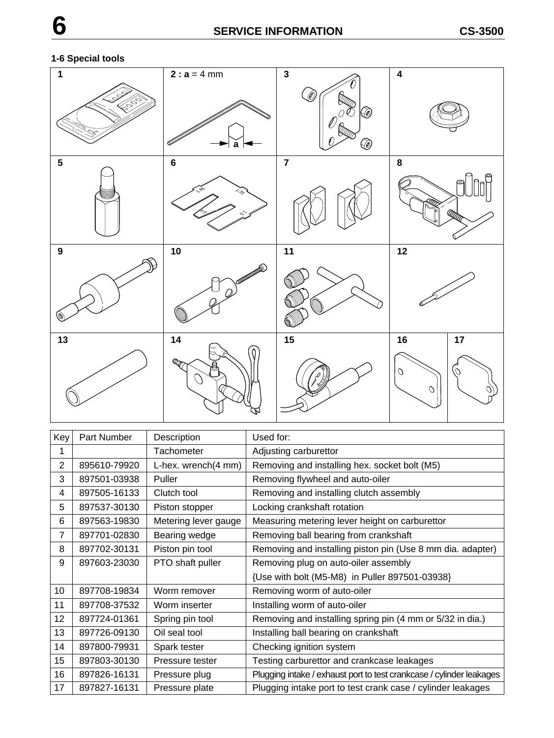#### **1-6 Special tools**



| Key | Part Number  | Description          | Used for:                                                            |
|-----|--------------|----------------------|----------------------------------------------------------------------|
| 1   |              | Tachometer           | Adjusting carburettor                                                |
| 2   | 895610-79920 | L-hex. wrench(4 mm)  | Removing and installing hex. socket bolt (M5)                        |
| 3   | 897501-03938 | Puller               | Removing flywheel and auto-oiler                                     |
| 4   | 897505-16133 | Clutch tool          | Removing and installing clutch assembly                              |
| 5   | 897537-30130 | Piston stopper       | Locking crankshaft rotation                                          |
| 6   | 897563-19830 | Metering lever gauge | Measuring metering lever height on carburettor                       |
| 7   | 897701-02830 | Bearing wedge        | Removing ball bearing from crankshaft                                |
| 8   | 897702-30131 | Piston pin tool      | Removing and installing piston pin (Use 8 mm dia. adapter)           |
| 9   | 897603-23030 | PTO shaft puller     | Removing plug on auto-oiler assembly                                 |
|     |              |                      | {Use with bolt (M5-M8) in Puller 897501-03938}                       |
| 10  | 897708-19834 | Worm remover         | Removing worm of auto-oiler                                          |
| 11  | 897708-37532 | Worm inserter        | Installing worm of auto-oiler                                        |
| 12  | 897724-01361 | Spring pin tool      | Removing and installing spring pin (4 mm or 5/32 in dia.)            |
| 13  | 897726-09130 | Oil seal tool        | Installing ball bearing on crankshaft                                |
| 14  | 897800-79931 | Spark tester         | Checking ignition system                                             |
| 15  | 897803-30130 | Pressure tester      | Testing carburettor and crankcase leakages                           |
| 16  | 897826-16131 | Pressure plug        | Plugging intake / exhaust port to test crankcase / cylinder leakages |
| 17  | 897827-16131 | Pressure plate       | Plugging intake port to test crank case / cylinder leakages          |